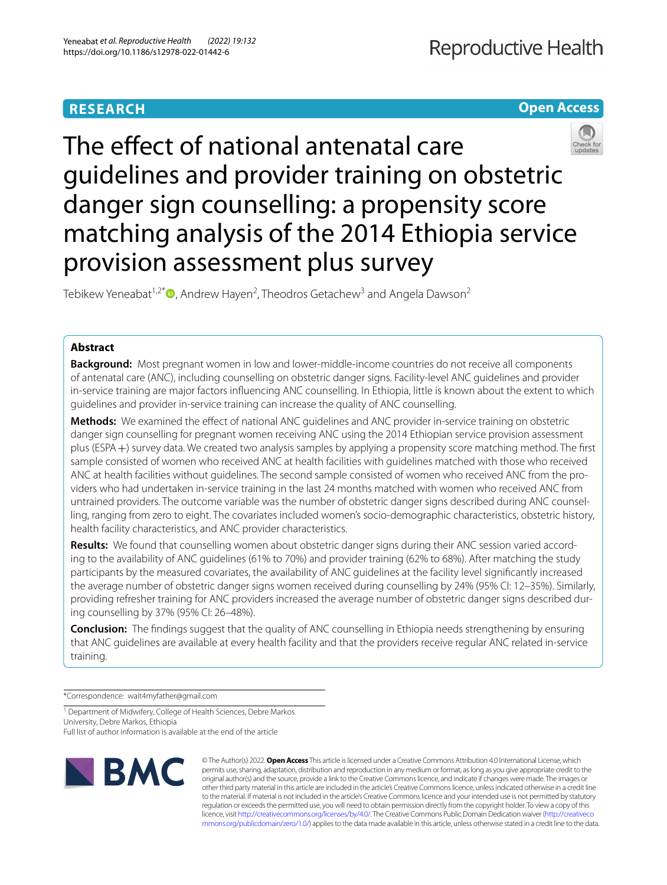# **Open Access**



The effect of national antenatal care guidelines and provider training on obstetric danger sign counselling: a propensity score matching analysis of the 2014 Ethiopia service provision assessment plus survey

Tebikew Yeneabat<sup>1,2[\\*](http://orcid.org/0000-0001-8870-2485)</sup>  $\textsf{D}$ , Andrew Hayen<sup>2</sup>, Theodros Getachew<sup>3</sup> and Angela Dawson<sup>2</sup>

# **Abstract**

**Background:** Most pregnant women in low and lower-middle-income countries do not receive all components of antenatal care (ANC), including counselling on obstetric danger signs. Facility-level ANC guidelines and provider in-service training are major factors infuencing ANC counselling. In Ethiopia, little is known about the extent to which guidelines and provider in-service training can increase the quality of ANC counselling.

**Methods:** We examined the efect of national ANC guidelines and ANC provider in-service training on obstetric danger sign counselling for pregnant women receiving ANC using the 2014 Ethiopian service provision assessment plus (ESPA+) survey data. We created two analysis samples by applying a propensity score matching method. The frst sample consisted of women who received ANC at health facilities with guidelines matched with those who received ANC at health facilities without guidelines. The second sample consisted of women who received ANC from the providers who had undertaken in-service training in the last 24 months matched with women who received ANC from untrained providers. The outcome variable was the number of obstetric danger signs described during ANC counselling, ranging from zero to eight. The covariates included women's socio-demographic characteristics, obstetric history, health facility characteristics, and ANC provider characteristics.

**Results:** We found that counselling women about obstetric danger signs during their ANC session varied according to the availability of ANC guidelines (61% to 70%) and provider training (62% to 68%). After matching the study participants by the measured covariates, the availability of ANC guidelines at the facility level signifcantly increased the average number of obstetric danger signs women received during counselling by 24% (95% CI: 12–35%). Similarly, providing refresher training for ANC providers increased the average number of obstetric danger signs described during counselling by 37% (95% CI: 26–48%).

**Conclusion:** The fndings suggest that the quality of ANC counselling in Ethiopia needs strengthening by ensuring that ANC guidelines are available at every health facility and that the providers receive regular ANC related in-service training.

\*Correspondence: wait4myfather@gmail.com

<sup>1</sup> Department of Midwifery, College of Health Sciences, Debre Markos University, Debre Markos, Ethiopia

Full list of author information is available at the end of the article



© The Author(s) 2022. **Open Access** This article is licensed under a Creative Commons Attribution 4.0 International License, which permits use, sharing, adaptation, distribution and reproduction in any medium or format, as long as you give appropriate credit to the original author(s) and the source, provide a link to the Creative Commons licence, and indicate if changes were made. The images or other third party material in this article are included in the article's Creative Commons licence, unless indicated otherwise in a credit line to the material. If material is not included in the article's Creative Commons licence and your intended use is not permitted by statutory regulation or exceeds the permitted use, you will need to obtain permission directly from the copyright holder. To view a copy of this licence, visit [http://creativecommons.org/licenses/by/4.0/.](http://creativecommons.org/licenses/by/4.0/) The Creative Commons Public Domain Dedication waiver ([http://creativeco](http://creativecommons.org/publicdomain/zero/1.0/) [mmons.org/publicdomain/zero/1.0/](http://creativecommons.org/publicdomain/zero/1.0/)) applies to the data made available in this article, unless otherwise stated in a credit line to the data.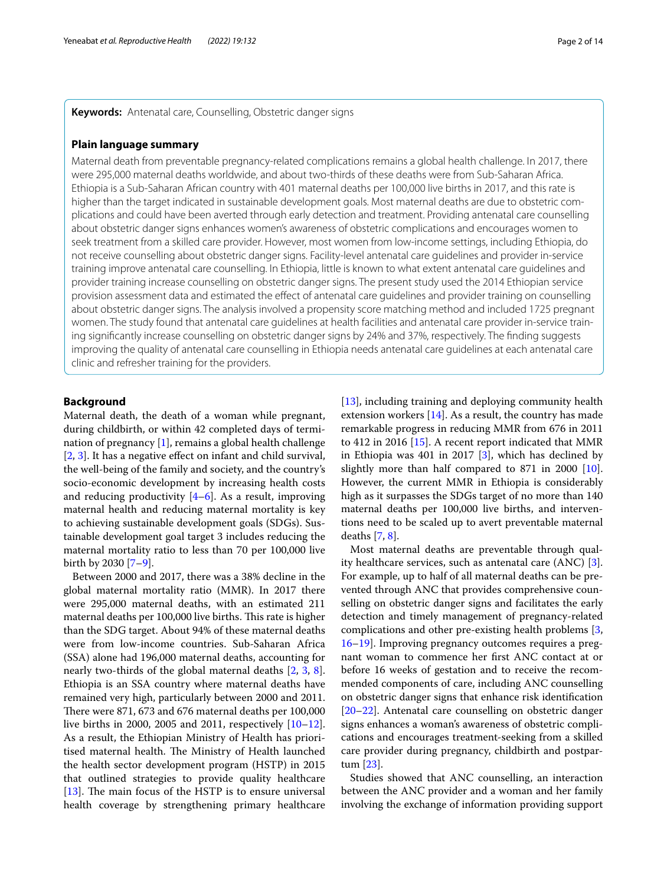**Keywords:** Antenatal care, Counselling, Obstetric danger signs

# **Plain language summary**

Maternal death from preventable pregnancy-related complications remains a global health challenge. In 2017, there were 295,000 maternal deaths worldwide, and about two-thirds of these deaths were from Sub-Saharan Africa. Ethiopia is a Sub-Saharan African country with 401 maternal deaths per 100,000 live births in 2017, and this rate is higher than the target indicated in sustainable development goals. Most maternal deaths are due to obstetric complications and could have been averted through early detection and treatment. Providing antenatal care counselling about obstetric danger signs enhances women's awareness of obstetric complications and encourages women to seek treatment from a skilled care provider. However, most women from low-income settings, including Ethiopia, do not receive counselling about obstetric danger signs. Facility-level antenatal care guidelines and provider in-service training improve antenatal care counselling. In Ethiopia, little is known to what extent antenatal care guidelines and provider training increase counselling on obstetric danger signs. The present study used the 2014 Ethiopian service provision assessment data and estimated the efect of antenatal care guidelines and provider training on counselling about obstetric danger signs. The analysis involved a propensity score matching method and included 1725 pregnant women. The study found that antenatal care guidelines at health facilities and antenatal care provider in-service training signifcantly increase counselling on obstetric danger signs by 24% and 37%, respectively. The fnding suggests improving the quality of antenatal care counselling in Ethiopia needs antenatal care guidelines at each antenatal care clinic and refresher training for the providers.

### **Background**

Maternal death, the death of a woman while pregnant, during childbirth, or within 42 completed days of termination of pregnancy [[1\]](#page-11-0), remains a global health challenge [[2,](#page-11-1) [3](#page-11-2)]. It has a negative efect on infant and child survival, the well-being of the family and society, and the country's socio-economic development by increasing health costs and reducing productivity  $[4-6]$  $[4-6]$ . As a result, improving maternal health and reducing maternal mortality is key to achieving sustainable development goals (SDGs). Sustainable development goal target 3 includes reducing the maternal mortality ratio to less than 70 per 100,000 live birth by 2030 [\[7](#page-11-5)[–9](#page-11-6)].

Between 2000 and 2017, there was a 38% decline in the global maternal mortality ratio (MMR). In 2017 there were 295,000 maternal deaths, with an estimated 211 maternal deaths per 100,000 live births. This rate is higher than the SDG target. About 94% of these maternal deaths were from low-income countries. Sub-Saharan Africa (SSA) alone had 196,000 maternal deaths, accounting for nearly two-thirds of the global maternal deaths [[2](#page-11-1), [3,](#page-11-2) [8](#page-11-7)]. Ethiopia is an SSA country where maternal deaths have remained very high, particularly between 2000 and 2011. There were  $871,673$  and  $676$  maternal deaths per  $100,000$ live births in 2000, 2005 and 2011, respectively [[10](#page-11-8)[–12](#page-11-9)]. As a result, the Ethiopian Ministry of Health has prioritised maternal health. The Ministry of Health launched the health sector development program (HSTP) in 2015 that outlined strategies to provide quality healthcare [ $13$ ]. The main focus of the HSTP is to ensure universal health coverage by strengthening primary healthcare [[13\]](#page-11-10), including training and deploying community health extension workers  $[14]$  $[14]$  $[14]$ . As a result, the country has made remarkable progress in reducing MMR from 676 in 2011 to 412 in 2016 [[15\]](#page-11-12). A recent report indicated that MMR in Ethiopia was 401 in 2017 [\[3](#page-11-2)], which has declined by slightly more than half compared to 871 in 2000 [\[10](#page-11-8)]. However, the current MMR in Ethiopia is considerably high as it surpasses the SDGs target of no more than 140 maternal deaths per 100,000 live births, and interventions need to be scaled up to avert preventable maternal deaths [[7,](#page-11-5) [8](#page-11-7)].

Most maternal deaths are preventable through quality healthcare services, such as antenatal care (ANC) [\[3](#page-11-2)]. For example, up to half of all maternal deaths can be prevented through ANC that provides comprehensive counselling on obstetric danger signs and facilitates the early detection and timely management of pregnancy-related complications and other pre-existing health problems [\[3](#page-11-2), [16](#page-11-13)[–19](#page-11-14)]. Improving pregnancy outcomes requires a pregnant woman to commence her frst ANC contact at or before 16 weeks of gestation and to receive the recommended components of care, including ANC counselling on obstetric danger signs that enhance risk identifcation [[20–](#page-11-15)[22\]](#page-11-16). Antenatal care counselling on obstetric danger signs enhances a woman's awareness of obstetric complications and encourages treatment-seeking from a skilled care provider during pregnancy, childbirth and postpartum [[23\]](#page-11-17).

Studies showed that ANC counselling, an interaction between the ANC provider and a woman and her family involving the exchange of information providing support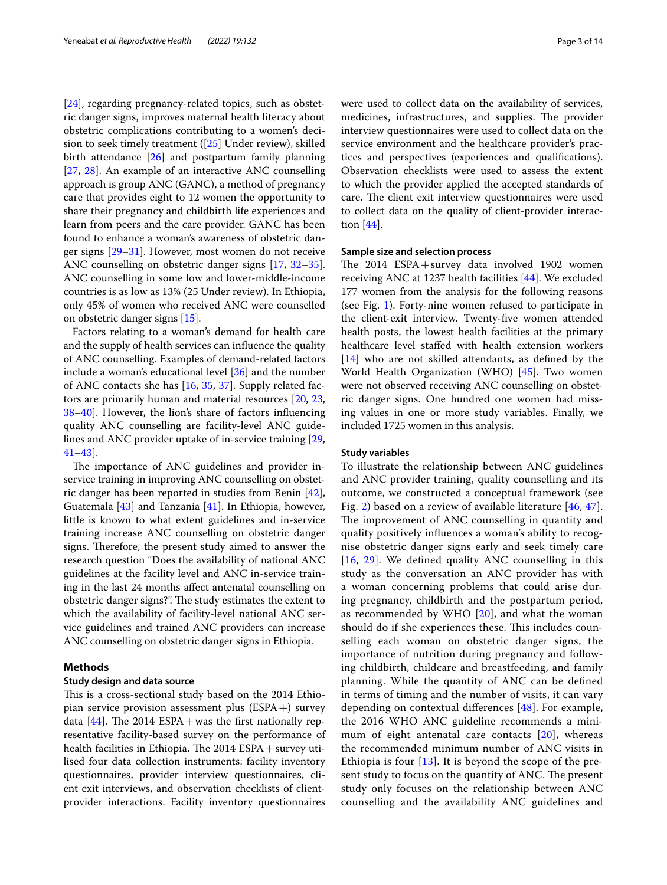[[24\]](#page-11-18), regarding pregnancy-related topics, such as obstetric danger signs, improves maternal health literacy about obstetric complications contributing to a women's decision to seek timely treatment ([[25\]](#page-11-19) Under review), skilled birth attendance [\[26](#page-11-20)] and postpartum family planning [[27,](#page-11-21) [28](#page-11-22)]. An example of an interactive ANC counselling approach is group ANC (GANC), a method of pregnancy care that provides eight to 12 women the opportunity to share their pregnancy and childbirth life experiences and learn from peers and the care provider. GANC has been found to enhance a woman's awareness of obstetric danger signs [\[29](#page-11-23)[–31\]](#page-11-24). However, most women do not receive ANC counselling on obstetric danger signs [[17,](#page-11-25) [32](#page-11-26)[–35](#page-11-27)]. ANC counselling in some low and lower-middle-income countries is as low as 13% (25 Under review). In Ethiopia, only 45% of women who received ANC were counselled on obstetric danger signs [\[15](#page-11-12)].

Factors relating to a woman's demand for health care and the supply of health services can infuence the quality of ANC counselling. Examples of demand-related factors include a woman's educational level [[36\]](#page-11-28) and the number of ANC contacts she has [\[16](#page-11-13), [35](#page-11-27), [37](#page-11-29)]. Supply related factors are primarily human and material resources [\[20](#page-11-15), [23](#page-11-17), [38–](#page-11-30)[40](#page-11-31)]. However, the lion's share of factors infuencing quality ANC counselling are facility-level ANC guidelines and ANC provider uptake of in-service training [\[29](#page-11-23), [41–](#page-11-32)[43](#page-11-33)].

The importance of ANC guidelines and provider inservice training in improving ANC counselling on obstetric danger has been reported in studies from Benin [\[42](#page-11-34)], Guatemala [\[43](#page-11-33)] and Tanzania [[41\]](#page-11-32). In Ethiopia, however, little is known to what extent guidelines and in-service training increase ANC counselling on obstetric danger signs. Therefore, the present study aimed to answer the research question "Does the availability of national ANC guidelines at the facility level and ANC in-service training in the last 24 months afect antenatal counselling on obstetric danger signs?". The study estimates the extent to which the availability of facility-level national ANC service guidelines and trained ANC providers can increase ANC counselling on obstetric danger signs in Ethiopia.

# **Methods**

#### **Study design and data source**

This is a cross-sectional study based on the 2014 Ethiopian service provision assessment plus  $(ESPA+)$  survey data  $[44]$  $[44]$ . The 2014 ESPA + was the first nationally representative facility-based survey on the performance of health facilities in Ethiopia. The  $2014$  ESPA + survey utilised four data collection instruments: facility inventory questionnaires, provider interview questionnaires, client exit interviews, and observation checklists of clientprovider interactions. Facility inventory questionnaires were used to collect data on the availability of services, medicines, infrastructures, and supplies. The provider interview questionnaires were used to collect data on the service environment and the healthcare provider's practices and perspectives (experiences and qualifcations). Observation checklists were used to assess the extent to which the provider applied the accepted standards of care. The client exit interview questionnaires were used to collect data on the quality of client-provider interaction [[44\]](#page-12-0).

### **Sample size and selection process**

The  $2014$  ESPA + survey data involved 1902 women receiving ANC at 1237 health facilities [\[44](#page-12-0)]. We excluded 177 women from the analysis for the following reasons (see Fig. [1\)](#page-3-0). Forty-nine women refused to participate in the client-exit interview. Twenty-fve women attended health posts, the lowest health facilities at the primary healthcare level stafed with health extension workers [[14\]](#page-11-11) who are not skilled attendants, as defined by the World Health Organization (WHO) [\[45\]](#page-12-1). Two women were not observed receiving ANC counselling on obstetric danger signs. One hundred one women had missing values in one or more study variables. Finally, we included 1725 women in this analysis.

#### **Study variables**

To illustrate the relationship between ANC guidelines and ANC provider training, quality counselling and its outcome, we constructed a conceptual framework (see Fig. [2\)](#page-3-1) based on a review of available literature [[46,](#page-12-2) [47](#page-12-3)]. The improvement of ANC counselling in quantity and quality positively infuences a woman's ability to recognise obstetric danger signs early and seek timely care [[16](#page-11-13), [29\]](#page-11-23). We defned quality ANC counselling in this study as the conversation an ANC provider has with a woman concerning problems that could arise during pregnancy, childbirth and the postpartum period, as recommended by WHO [[20\]](#page-11-15), and what the woman should do if she experiences these. This includes counselling each woman on obstetric danger signs, the importance of nutrition during pregnancy and following childbirth, childcare and breastfeeding, and family planning. While the quantity of ANC can be defned in terms of timing and the number of visits, it can vary depending on contextual diferences [\[48](#page-12-4)]. For example, the 2016 WHO ANC guideline recommends a mini-mum of eight antenatal care contacts [\[20](#page-11-15)], whereas the recommended minimum number of ANC visits in Ethiopia is four [[13](#page-11-10)]. It is beyond the scope of the present study to focus on the quantity of ANC. The present study only focuses on the relationship between ANC counselling and the availability ANC guidelines and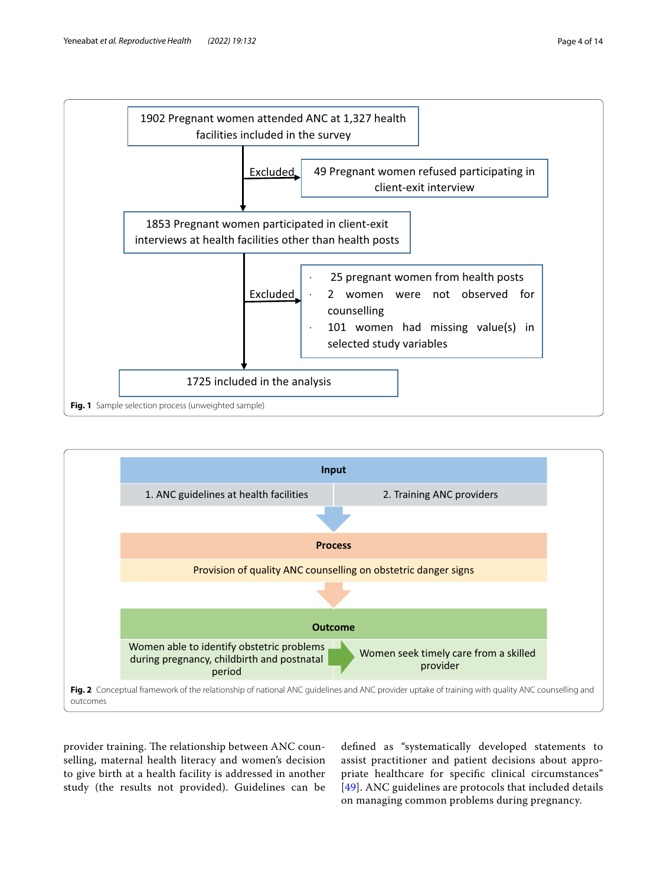

<span id="page-3-0"></span>

<span id="page-3-1"></span>provider training. The relationship between ANC counselling, maternal health literacy and women's decision to give birth at a health facility is addressed in another study (the results not provided). Guidelines can be

defned as "systematically developed statements to assist practitioner and patient decisions about appropriate healthcare for specifc clinical circumstances" [[49](#page-12-5)]. ANC guidelines are protocols that included details on managing common problems during pregnancy.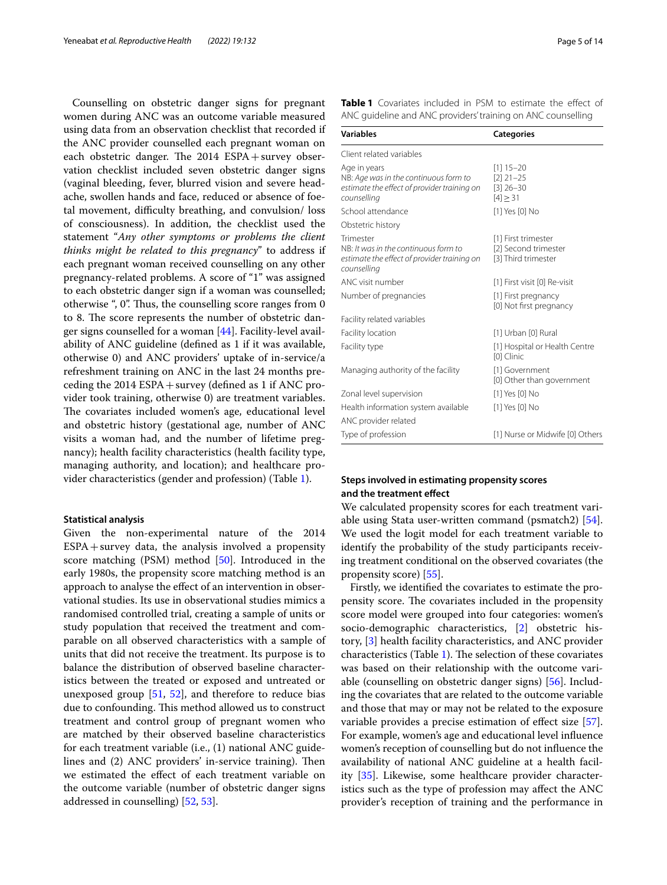Counselling on obstetric danger signs for pregnant women during ANC was an outcome variable measured using data from an observation checklist that recorded if the ANC provider counselled each pregnant woman on each obstetric danger. The  $2014$  ESPA + survey observation checklist included seven obstetric danger signs (vaginal bleeding, fever, blurred vision and severe headache, swollen hands and face, reduced or absence of foetal movement, difficulty breathing, and convulsion/ loss of consciousness). In addition, the checklist used the statement "*Any other symptoms or problems the client thinks might be related to this pregnancy*" to address if each pregnant woman received counselling on any other pregnancy-related problems. A score of "1" was assigned to each obstetric danger sign if a woman was counselled; otherwise ", 0". Thus, the counselling score ranges from 0 to 8. The score represents the number of obstetric danger signs counselled for a woman [[44\]](#page-12-0). Facility-level availability of ANC guideline (defned as 1 if it was available, otherwise 0) and ANC providers' uptake of in-service/a refreshment training on ANC in the last 24 months preceding the  $2014$  ESPA + survey (defined as 1 if ANC provider took training, otherwise 0) are treatment variables. The covariates included women's age, educational level and obstetric history (gestational age, number of ANC visits a woman had, and the number of lifetime pregnancy); health facility characteristics (health facility type, managing authority, and location); and healthcare provider characteristics (gender and profession) (Table [1](#page-4-0)).

#### **Statistical analysis**

Given the non-experimental nature of the 2014  $ESPA + survey$  data, the analysis involved a propensity score matching (PSM) method [\[50](#page-12-6)]. Introduced in the early 1980s, the propensity score matching method is an approach to analyse the effect of an intervention in observational studies. Its use in observational studies mimics a randomised controlled trial, creating a sample of units or study population that received the treatment and comparable on all observed characteristics with a sample of units that did not receive the treatment. Its purpose is to balance the distribution of observed baseline characteristics between the treated or exposed and untreated or unexposed group  $[51, 52]$  $[51, 52]$  $[51, 52]$  $[51, 52]$ , and therefore to reduce bias due to confounding. This method allowed us to construct treatment and control group of pregnant women who are matched by their observed baseline characteristics for each treatment variable (i.e., (1) national ANC guidelines and (2) ANC providers' in-service training). Then we estimated the efect of each treatment variable on the outcome variable (number of obstetric danger signs addressed in counselling) [\[52](#page-12-8), [53](#page-12-9)].

<span id="page-4-0"></span>

| Table 1 Covariates included in PSM to estimate the effect of |  |  |  |  |
|--------------------------------------------------------------|--|--|--|--|
| ANC quideline and ANC providers' training on ANC counselling |  |  |  |  |

| <b>Variables</b>                                                                                                    | <b>Categories</b>                                                  |
|---------------------------------------------------------------------------------------------------------------------|--------------------------------------------------------------------|
| Client related variables                                                                                            |                                                                    |
| Age in years<br>NB: Age was in the continuous form to<br>estimate the effect of provider training on<br>counselling | $[1]$ 15-20<br>$[2]$ 21-25<br>$[3]$ 26-30<br>$[4] \geq 31$         |
| School attendance                                                                                                   | [1] Yes [0] No                                                     |
| Obstetric history                                                                                                   |                                                                    |
| Trimester<br>NB: It was in the continuous form to<br>estimate the effect of provider training on<br>counselling     | [1] First trimester<br>[2] Second trimester<br>[3] Third trimester |
| ANC visit number                                                                                                    | [1] First visit [0] Re-visit                                       |
| Number of pregnancies                                                                                               | [1] First pregnancy<br>[0] Not first pregnancy                     |
| Facility related variables                                                                                          |                                                                    |
| Facility location                                                                                                   | [1] Urban [0] Rural                                                |
| Facility type                                                                                                       | [1] Hospital or Health Centre<br>[0] Clinic                        |
| Managing authority of the facility                                                                                  | [1] Government<br>[0] Other than government                        |
| Zonal level supervision                                                                                             | [1] Yes [0] No                                                     |
| Health information system available                                                                                 | [1] Yes [0] No                                                     |
| ANC provider related                                                                                                |                                                                    |
| Type of profession                                                                                                  | [1] Nurse or Midwife [0] Others                                    |

# **Steps involved in estimating propensity scores and the treatment efect**

We calculated propensity scores for each treatment variable using Stata user-written command (psmatch2) [\[54](#page-12-10)]. We used the logit model for each treatment variable to identify the probability of the study participants receiving treatment conditional on the observed covariates (the propensity score) [[55\]](#page-12-11).

Firstly, we identifed the covariates to estimate the propensity score. The covariates included in the propensity score model were grouped into four categories: women's socio-demographic characteristics, [[2\]](#page-11-1) obstetric history, [\[3](#page-11-2)] health facility characteristics, and ANC provider characteristics (Table [1](#page-4-0)). The selection of these covariates was based on their relationship with the outcome variable (counselling on obstetric danger signs) [\[56](#page-12-12)]. Including the covariates that are related to the outcome variable and those that may or may not be related to the exposure variable provides a precise estimation of effect size [\[57](#page-12-13)]. For example, women's age and educational level infuence women's reception of counselling but do not infuence the availability of national ANC guideline at a health facility [[35](#page-11-27)]. Likewise, some healthcare provider characteristics such as the type of profession may afect the ANC provider's reception of training and the performance in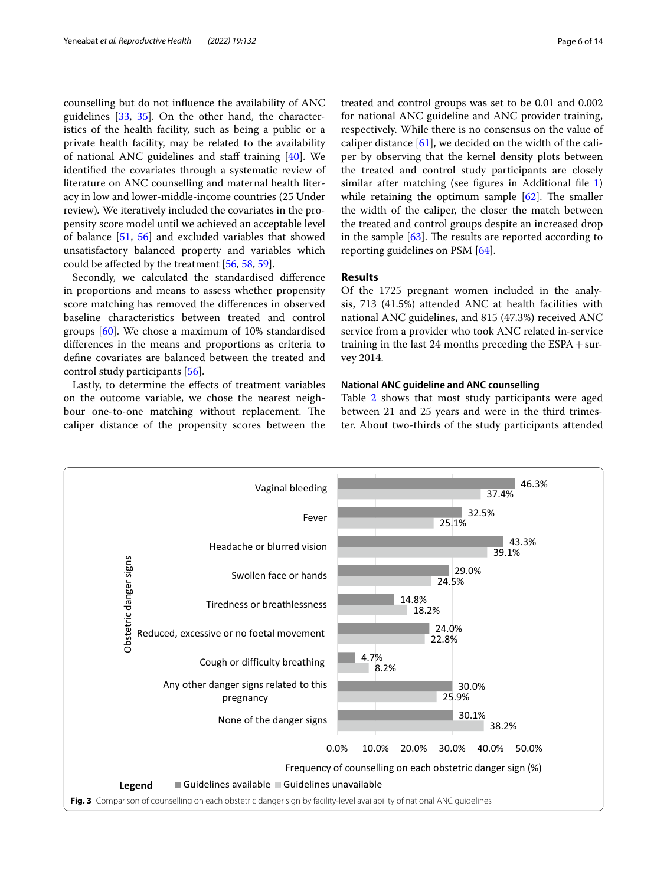counselling but do not infuence the availability of ANC guidelines [[33,](#page-11-35) [35](#page-11-27)]. On the other hand, the characteristics of the health facility, such as being a public or a private health facility, may be related to the availability of national ANC guidelines and staff training  $[40]$  $[40]$ . We identifed the covariates through a systematic review of literature on ANC counselling and maternal health literacy in low and lower-middle-income countries (25 Under review)*.* We iteratively included the covariates in the propensity score model until we achieved an acceptable level of balance [[51,](#page-12-7) [56\]](#page-12-12) and excluded variables that showed unsatisfactory balanced property and variables which could be afected by the treatment [\[56](#page-12-12), [58,](#page-12-14) [59](#page-12-15)].

Secondly, we calculated the standardised diference in proportions and means to assess whether propensity score matching has removed the diferences in observed baseline characteristics between treated and control groups [\[60](#page-12-16)]. We chose a maximum of 10% standardised diferences in the means and proportions as criteria to defne covariates are balanced between the treated and control study participants [\[56](#page-12-12)].

Lastly, to determine the efects of treatment variables on the outcome variable, we chose the nearest neighbour one-to-one matching without replacement. The caliper distance of the propensity scores between the treated and control groups was set to be 0.01 and 0.002 for national ANC guideline and ANC provider training, respectively. While there is no consensus on the value of caliper distance  $[61]$  $[61]$ , we decided on the width of the caliper by observing that the kernel density plots between the treated and control study participants are closely similar after matching (see figures in Additional file [1](#page-10-0)) while retaining the optimum sample  $[62]$ . The smaller the width of the caliper, the closer the match between the treated and control groups despite an increased drop in the sample  $[63]$  $[63]$  $[63]$ . The results are reported according to reporting guidelines on PSM [[64](#page-12-20)].

# **Results**

Of the 1725 pregnant women included in the analysis, 713 (41.5%) attended ANC at health facilities with national ANC guidelines, and 815 (47.3%) received ANC service from a provider who took ANC related in-service training in the last 24 months preceding the  $ESPA + sur$ vey 2014.

## **National ANC guideline and ANC counselling**

Table [2](#page-6-0) shows that most study participants were aged between 21 and 25 years and were in the third trimester. About two-thirds of the study participants attended

<span id="page-5-0"></span>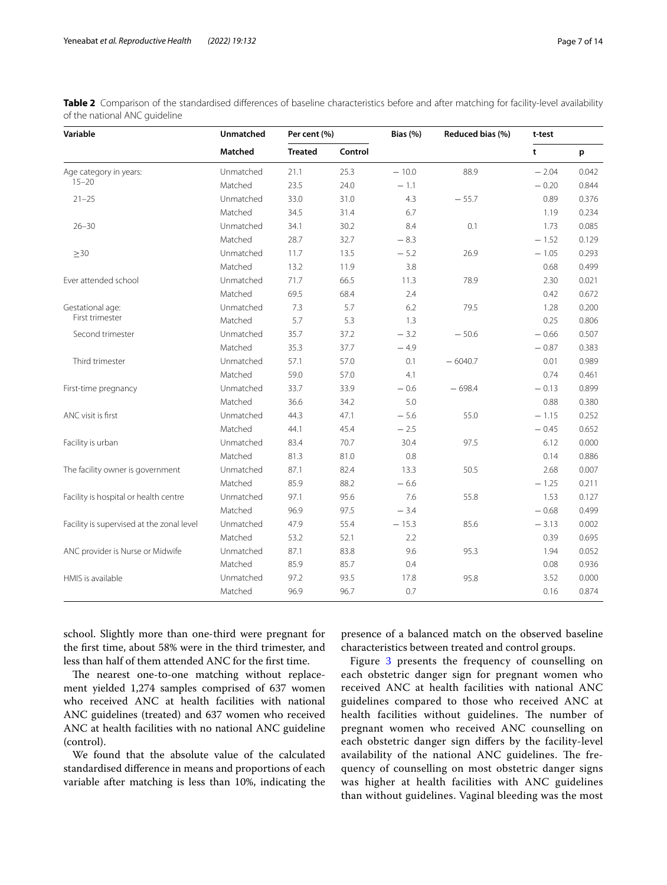| Variable                                  | <b>Unmatched</b> | Per cent (%)   |         | Bias $(%)$ | Reduced bias (%) | t-test  |       |
|-------------------------------------------|------------------|----------------|---------|------------|------------------|---------|-------|
|                                           | Matched          | <b>Treated</b> | Control |            |                  | t       | p     |
| Age category in years:                    | Unmatched        | 21.1           | 25.3    | $-10.0$    | 88.9             | $-2.04$ | 0.042 |
| $15 - 20$                                 | Matched          | 23.5           | 24.0    | $-1.1$     |                  | $-0.20$ | 0.844 |
| $21 - 25$                                 | Unmatched        | 33.0           | 31.0    | 4.3        | $-55.7$          | 0.89    | 0.376 |
|                                           | Matched          | 34.5           | 31.4    | 6.7        |                  | 1.19    | 0.234 |
| $26 - 30$                                 | Unmatched        | 34.1           | 30.2    | 8.4        | 0.1              | 1.73    | 0.085 |
|                                           | Matched          | 28.7           | 32.7    | $-8.3$     |                  | $-1.52$ | 0.129 |
| $\geq$ 30                                 | Unmatched        | 11.7           | 13.5    | $-5.2$     | 26.9             | $-1.05$ | 0.293 |
|                                           | Matched          | 13.2           | 11.9    | 3.8        |                  | 0.68    | 0.499 |
| Ever attended school                      | Unmatched        | 71.7           | 66.5    | 11.3       | 78.9             | 2.30    | 0.021 |
|                                           | Matched          | 69.5           | 68.4    | 2.4        |                  | 0.42    | 0.672 |
| Gestational age:                          | Unmatched        | 7.3            | 5.7     | 6.2        | 79.5             | 1.28    | 0.200 |
| First trimester                           | Matched          | 5.7            | 5.3     | 1.3        |                  | 0.25    | 0.806 |
| Second trimester                          | Unmatched        | 35.7           | 37.2    | $-3.2$     | $-50.6$          | $-0.66$ | 0.507 |
|                                           | Matched          | 35.3           | 37.7    | $-4.9$     |                  | $-0.87$ | 0.383 |
| Third trimester                           | Unmatched        | 57.1           | 57.0    | 0.1        | $-6040.7$        | 0.01    | 0.989 |
|                                           | Matched          | 59.0           | 57.0    | 4.1        |                  | 0.74    | 0.461 |
| First-time pregnancy                      | Unmatched        | 33.7           | 33.9    | $-0.6$     | $-698.4$         | $-0.13$ | 0.899 |
|                                           | Matched          | 36.6           | 34.2    | 5.0        |                  | 0.88    | 0.380 |
| ANC visit is first                        | Unmatched        | 44.3           | 47.1    | $-5.6$     | 55.0             | $-1.15$ | 0.252 |
|                                           | Matched          | 44.1           | 45.4    | $-2.5$     |                  | $-0.45$ | 0.652 |
| Facility is urban                         | Unmatched        | 83.4           | 70.7    | 30.4       | 97.5             | 6.12    | 0.000 |
|                                           | Matched          | 81.3           | 81.0    | 0.8        |                  | 0.14    | 0.886 |
| The facility owner is government          | Unmatched        | 87.1           | 82.4    | 13.3       | 50.5             | 2.68    | 0.007 |
|                                           | Matched          | 85.9           | 88.2    | $-6.6$     |                  | $-1.25$ | 0.211 |
| Facility is hospital or health centre     | Unmatched        | 97.1           | 95.6    | 7.6        | 55.8             | 1.53    | 0.127 |
|                                           | Matched          | 96.9           | 97.5    | $-3.4$     |                  | $-0.68$ | 0.499 |
| Facility is supervised at the zonal level | Unmatched        | 47.9           | 55.4    | $-15.3$    | 85.6             | $-3.13$ | 0.002 |
|                                           | Matched          | 53.2           | 52.1    | 2.2        |                  | 0.39    | 0.695 |
| ANC provider is Nurse or Midwife          | Unmatched        | 87.1           | 83.8    | 9.6        | 95.3             | 1.94    | 0.052 |
|                                           | Matched          | 85.9           | 85.7    | 0.4        |                  | 0.08    | 0.936 |
| HMIS is available                         | Unmatched        | 97.2           | 93.5    | 17.8       | 95.8             | 3.52    | 0.000 |
|                                           | Matched          | 96.9           | 96.7    | 0.7        |                  | 0.16    | 0.874 |

<span id="page-6-0"></span>Table 2 Comparison of the standardised differences of baseline characteristics before and after matching for facility-level availability of the national ANC guideline

school. Slightly more than one-third were pregnant for the frst time, about 58% were in the third trimester, and less than half of them attended ANC for the frst time.

The nearest one-to-one matching without replacement yielded 1,274 samples comprised of 637 women who received ANC at health facilities with national ANC guidelines (treated) and 637 women who received ANC at health facilities with no national ANC guideline (control).

We found that the absolute value of the calculated standardised diference in means and proportions of each variable after matching is less than 10%, indicating the presence of a balanced match on the observed baseline characteristics between treated and control groups.

Figure [3](#page-5-0) presents the frequency of counselling on each obstetric danger sign for pregnant women who received ANC at health facilities with national ANC guidelines compared to those who received ANC at health facilities without guidelines. The number of pregnant women who received ANC counselling on each obstetric danger sign difers by the facility-level availability of the national ANC guidelines. The frequency of counselling on most obstetric danger signs was higher at health facilities with ANC guidelines than without guidelines. Vaginal bleeding was the most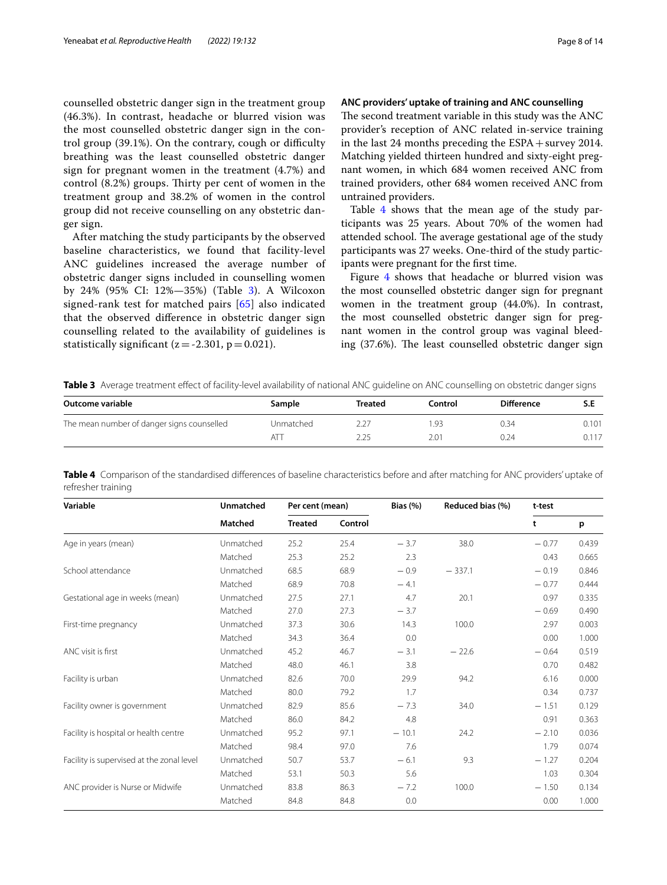counselled obstetric danger sign in the treatment group (46.3%). In contrast, headache or blurred vision was the most counselled obstetric danger sign in the control group  $(39.1\%)$ . On the contrary, cough or difficulty breathing was the least counselled obstetric danger sign for pregnant women in the treatment (4.7%) and control (8.2%) groups. Thirty per cent of women in the treatment group and 38.2% of women in the control group did not receive counselling on any obstetric danger sign.

After matching the study participants by the observed baseline characteristics, we found that facility-level ANC guidelines increased the average number of obstetric danger signs included in counselling women by 24% (95% CI: 12%—35%) (Table [3\)](#page-7-0). A Wilcoxon signed-rank test for matched pairs [[65\]](#page-12-21) also indicated that the observed diference in obstetric danger sign counselling related to the availability of guidelines is statistically significant ( $z = -2.301$ ,  $p = 0.021$ ).

# **ANC providers' uptake of training and ANC counselling**

The second treatment variable in this study was the ANC provider's reception of ANC related in-service training in the last 24 months preceding the ESPA+survey 2014. Matching yielded thirteen hundred and sixty-eight pregnant women, in which 684 women received ANC from trained providers, other 684 women received ANC from untrained providers.

Table [4](#page-7-1) shows that the mean age of the study participants was 25 years. About 70% of the women had attended school. The average gestational age of the study participants was 27 weeks. One-third of the study participants were pregnant for the frst time.

Figure [4](#page-8-0) shows that headache or blurred vision was the most counselled obstetric danger sign for pregnant women in the treatment group (44.0%). In contrast, the most counselled obstetric danger sign for pregnant women in the control group was vaginal bleeding (37.6%). The least counselled obstetric danger sign

<span id="page-7-0"></span>**Table 3** Average treatment effect of facility-level availability of national ANC guideline on ANC counselling on obstetric danger signs

| Outcome variable                           | Sample      | Treated | Control       | <b>Difference</b> | S.E   |
|--------------------------------------------|-------------|---------|---------------|-------------------|-------|
| The mean number of danger signs counselled | Unmatched   |         | .93           | 0.34              | 0.101 |
|                                            | $AT^{\tau}$ | 2.25    | $2.0^{\circ}$ | 0.24              |       |

<span id="page-7-1"></span>

| $11 - 11 - 11$ |                    |  | $\mathbf{B}$ and $\mathbf{B}$ and $\mathbf{B}$ and $\mathbf{B}$ and $\mathbf{B}$ and $\mathbf{B}$ and $\mathbf{B}$ and $\mathbf{B}$ | $D! - 1011$ | $P = \frac{1}{2}$                                                                                                                     |  |
|----------------|--------------------|--|-------------------------------------------------------------------------------------------------------------------------------------|-------------|---------------------------------------------------------------------------------------------------------------------------------------|--|
|                | refresher training |  |                                                                                                                                     |             |                                                                                                                                       |  |
|                |                    |  |                                                                                                                                     |             | Table 4 Comparison of the standardised differences of baseline characteristics before and after matching for ANC providers' uptake of |  |

| Variable                                  | Unmatched |                | Per cent (mean) |         | Reduced bias (%) | t-test  |       |
|-------------------------------------------|-----------|----------------|-----------------|---------|------------------|---------|-------|
|                                           | Matched   | <b>Treated</b> | Control         |         |                  | t       | p     |
| Age in years (mean)                       | Unmatched | 25.2           | 25.4            | $-3.7$  | 38.0             | $-0.77$ | 0.439 |
|                                           | Matched   | 25.3           | 25.2            | 2.3     |                  | 0.43    | 0.665 |
| School attendance                         | Unmatched | 68.5           | 68.9            | $-0.9$  | $-337.1$         | $-0.19$ | 0.846 |
|                                           | Matched   | 68.9           | 70.8            | $-4.1$  |                  | $-0.77$ | 0.444 |
| Gestational age in weeks (mean)           | Unmatched | 27.5           | 27.1            | 4.7     | 20.1             | 0.97    | 0.335 |
|                                           | Matched   | 27.0           | 27.3            | $-3.7$  |                  | $-0.69$ | 0.490 |
| First-time pregnancy                      | Unmatched | 37.3           | 30.6            | 14.3    | 100.0            | 2.97    | 0.003 |
|                                           | Matched   | 34.3           | 36.4            | 0.0     |                  | 0.00    | 1.000 |
| ANC visit is first                        | Unmatched | 45.2           | 46.7            | $-3.1$  | $-22.6$          | $-0.64$ | 0.519 |
|                                           | Matched   | 48.0           | 46.1            | 3.8     |                  | 0.70    | 0.482 |
| Facility is urban                         | Unmatched | 82.6           | 70.0            | 29.9    | 94.2             | 6.16    | 0.000 |
|                                           | Matched   | 80.0           | 79.2            | 1.7     |                  | 0.34    | 0.737 |
| Facility owner is government              | Unmatched | 82.9           | 85.6            | $-7.3$  | 34.0             | $-1.51$ | 0.129 |
|                                           | Matched   | 86.0           | 84.2            | 4.8     |                  | 0.91    | 0.363 |
| Facility is hospital or health centre     | Unmatched | 95.2           | 97.1            | $-10.1$ | 24.2             | $-2.10$ | 0.036 |
|                                           | Matched   | 98.4           | 97.0            | 7.6     |                  | 1.79    | 0.074 |
| Facility is supervised at the zonal level | Unmatched | 50.7           | 53.7            | $-6.1$  | 9.3              | $-1.27$ | 0.204 |
|                                           | Matched   | 53.1           | 50.3            | 5.6     |                  | 1.03    | 0.304 |
| ANC provider is Nurse or Midwife          | Unmatched | 83.8           | 86.3            | $-7.2$  | 100.0            | $-1.50$ | 0.134 |
|                                           | Matched   | 84.8           | 84.8            | 0.0     |                  | 0.00    | 1.000 |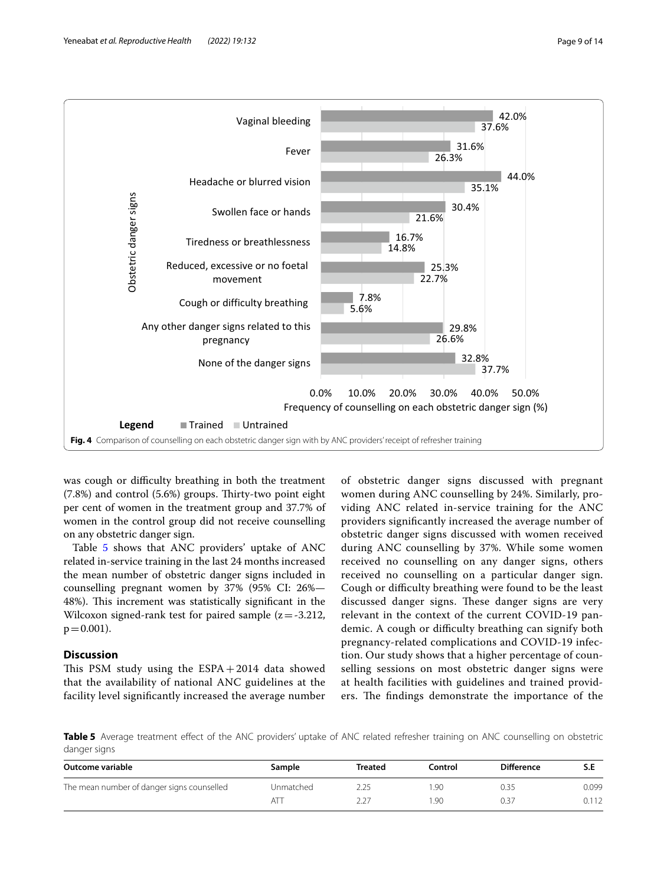

<span id="page-8-0"></span>was cough or difficulty breathing in both the treatment (7.8%) and control (5.6%) groups. Thirty-two point eight per cent of women in the treatment group and 37.7% of women in the control group did not receive counselling on any obstetric danger sign.

Table [5](#page-8-1) shows that ANC providers' uptake of ANC related in-service training in the last 24 months increased the mean number of obstetric danger signs included in counselling pregnant women by 37% (95% CI: 26%— 48%). This increment was statistically significant in the Wilcoxon signed-rank test for paired sample  $(z = -3.212,$  $p = 0.001$ ).

## **Discussion**

This PSM study using the  $ESPA + 2014$  data showed that the availability of national ANC guidelines at the facility level signifcantly increased the average number

of obstetric danger signs discussed with pregnant women during ANC counselling by 24%. Similarly, providing ANC related in-service training for the ANC providers signifcantly increased the average number of obstetric danger signs discussed with women received during ANC counselling by 37%. While some women received no counselling on any danger signs, others received no counselling on a particular danger sign. Cough or difficulty breathing were found to be the least discussed danger signs. These danger signs are very relevant in the context of the current COVID-19 pandemic. A cough or difficulty breathing can signify both pregnancy-related complications and COVID-19 infection. Our study shows that a higher percentage of counselling sessions on most obstetric danger signs were at health facilities with guidelines and trained providers. The findings demonstrate the importance of the

<span id="page-8-1"></span>**Table 5** Average treatment efect of the ANC providers' uptake of ANC related refresher training on ANC counselling on obstetric danger signs

| Outcome variable                           | Sample    | Treated | Control | <b>Difference</b> | S.E   |
|--------------------------------------------|-----------|---------|---------|-------------------|-------|
| The mean number of danger signs counselled | Unmatched |         | .90     | 0.35              | 0.099 |
|                                            |           |         | .90     | 0.37              | 0.112 |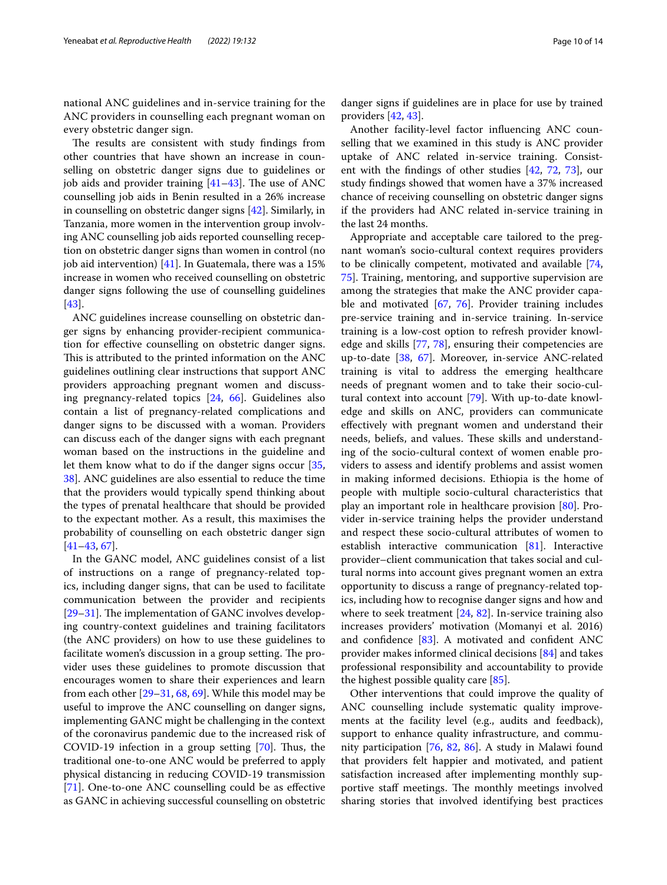national ANC guidelines and in-service training for the ANC providers in counselling each pregnant woman on every obstetric danger sign.

The results are consistent with study findings from other countries that have shown an increase in counselling on obstetric danger signs due to guidelines or job aids and provider training  $[41-43]$  $[41-43]$  $[41-43]$ . The use of ANC counselling job aids in Benin resulted in a 26% increase in counselling on obstetric danger signs [\[42](#page-11-34)]. Similarly, in Tanzania, more women in the intervention group involving ANC counselling job aids reported counselling reception on obstetric danger signs than women in control (no job aid intervention) [[41](#page-11-32)]. In Guatemala, there was a 15% increase in women who received counselling on obstetric danger signs following the use of counselling guidelines [[43\]](#page-11-33).

ANC guidelines increase counselling on obstetric danger signs by enhancing provider-recipient communication for efective counselling on obstetric danger signs. This is attributed to the printed information on the ANC guidelines outlining clear instructions that support ANC providers approaching pregnant women and discussing pregnancy-related topics [[24](#page-11-18), [66\]](#page-12-22). Guidelines also contain a list of pregnancy-related complications and danger signs to be discussed with a woman. Providers can discuss each of the danger signs with each pregnant woman based on the instructions in the guideline and let them know what to do if the danger signs occur [\[35](#page-11-27), [38\]](#page-11-30). ANC guidelines are also essential to reduce the time that the providers would typically spend thinking about the types of prenatal healthcare that should be provided to the expectant mother. As a result, this maximises the probability of counselling on each obstetric danger sign [[41–](#page-11-32)[43](#page-11-33), [67\]](#page-12-23).

In the GANC model, ANC guidelines consist of a list of instructions on a range of pregnancy-related topics, including danger signs, that can be used to facilitate communication between the provider and recipients  $[29-31]$  $[29-31]$  $[29-31]$ . The implementation of GANC involves developing country-context guidelines and training facilitators (the ANC providers) on how to use these guidelines to facilitate women's discussion in a group setting. The provider uses these guidelines to promote discussion that encourages women to share their experiences and learn from each other [\[29](#page-11-23)[–31,](#page-11-24) [68](#page-12-24), [69](#page-12-25)]. While this model may be useful to improve the ANC counselling on danger signs, implementing GANC might be challenging in the context of the coronavirus pandemic due to the increased risk of COVID-19 infection in a group setting  $[70]$  $[70]$ . Thus, the traditional one-to-one ANC would be preferred to apply physical distancing in reducing COVID-19 transmission [[71\]](#page-12-27). One-to-one ANC counselling could be as efective as GANC in achieving successful counselling on obstetric

danger signs if guidelines are in place for use by trained providers [[42,](#page-11-34) [43](#page-11-33)].

Another facility-level factor infuencing ANC counselling that we examined in this study is ANC provider uptake of ANC related in-service training. Consistent with the fndings of other studies [[42](#page-11-34), [72,](#page-12-28) [73\]](#page-12-29), our study fndings showed that women have a 37% increased chance of receiving counselling on obstetric danger signs if the providers had ANC related in-service training in the last 24 months.

Appropriate and acceptable care tailored to the pregnant woman's socio-cultural context requires providers to be clinically competent, motivated and available [[74](#page-12-30), [75\]](#page-12-31). Training, mentoring, and supportive supervision are among the strategies that make the ANC provider capable and motivated [[67,](#page-12-23) [76](#page-12-32)]. Provider training includes pre-service training and in-service training. In-service training is a low-cost option to refresh provider knowledge and skills [[77,](#page-12-33) [78\]](#page-12-34), ensuring their competencies are up-to-date [\[38](#page-11-30), [67](#page-12-23)]. Moreover, in-service ANC-related training is vital to address the emerging healthcare needs of pregnant women and to take their socio-cultural context into account [[79\]](#page-12-35). With up-to-date knowledge and skills on ANC, providers can communicate efectively with pregnant women and understand their needs, beliefs, and values. These skills and understanding of the socio-cultural context of women enable providers to assess and identify problems and assist women in making informed decisions. Ethiopia is the home of people with multiple socio-cultural characteristics that play an important role in healthcare provision [\[80](#page-12-36)]. Provider in-service training helps the provider understand and respect these socio-cultural attributes of women to establish interactive communication [\[81](#page-12-37)]. Interactive provider–client communication that takes social and cultural norms into account gives pregnant women an extra opportunity to discuss a range of pregnancy-related topics, including how to recognise danger signs and how and where to seek treatment [[24](#page-11-18), [82](#page-12-38)]. In-service training also increases providers' motivation (Momanyi et al. 2016) and confdence [[83\]](#page-12-39). A motivated and confdent ANC provider makes informed clinical decisions [[84\]](#page-12-40) and takes professional responsibility and accountability to provide the highest possible quality care [\[85](#page-12-41)].

Other interventions that could improve the quality of ANC counselling include systematic quality improvements at the facility level (e.g., audits and feedback), support to enhance quality infrastructure, and community participation [[76](#page-12-32), [82,](#page-12-38) [86](#page-12-42)]. A study in Malawi found that providers felt happier and motivated, and patient satisfaction increased after implementing monthly supportive staff meetings. The monthly meetings involved sharing stories that involved identifying best practices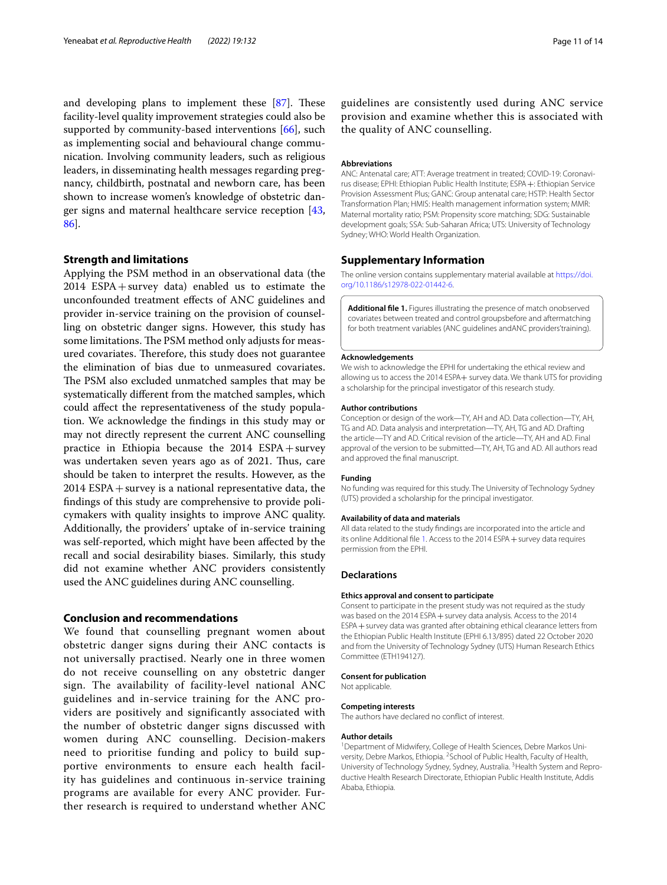and developing plans to implement these  $[87]$  $[87]$ . These facility-level quality improvement strategies could also be supported by community-based interventions [\[66\]](#page-12-22), such as implementing social and behavioural change communication. Involving community leaders, such as religious leaders, in disseminating health messages regarding pregnancy, childbirth, postnatal and newborn care, has been shown to increase women's knowledge of obstetric danger signs and maternal healthcare service reception [\[43](#page-11-33), [86\]](#page-12-42).

# **Strength and limitations**

Applying the PSM method in an observational data (the 2014 ESPA+survey data) enabled us to estimate the unconfounded treatment efects of ANC guidelines and provider in-service training on the provision of counselling on obstetric danger signs. However, this study has some limitations. The PSM method only adjusts for measured covariates. Therefore, this study does not guarantee the elimination of bias due to unmeasured covariates. The PSM also excluded unmatched samples that may be systematically diferent from the matched samples, which could afect the representativeness of the study population. We acknowledge the fndings in this study may or may not directly represent the current ANC counselling practice in Ethiopia because the  $2014$  ESPA + survey was undertaken seven years ago as of 2021. Thus, care should be taken to interpret the results. However, as the 2014 ESPA+survey is a national representative data, the fndings of this study are comprehensive to provide policymakers with quality insights to improve ANC quality. Additionally, the providers' uptake of in-service training was self-reported, which might have been afected by the recall and social desirability biases. Similarly, this study did not examine whether ANC providers consistently used the ANC guidelines during ANC counselling.

# **Conclusion and recommendations**

We found that counselling pregnant women about obstetric danger signs during their ANC contacts is not universally practised. Nearly one in three women do not receive counselling on any obstetric danger sign. The availability of facility-level national ANC guidelines and in-service training for the ANC providers are positively and significantly associated with the number of obstetric danger signs discussed with women during ANC counselling. Decision-makers need to prioritise funding and policy to build supportive environments to ensure each health facility has guidelines and continuous in-service training programs are available for every ANC provider. Further research is required to understand whether ANC guidelines are consistently used during ANC service provision and examine whether this is associated with the quality of ANC counselling.

#### **Abbreviations**

ANC: Antenatal care; ATT: Average treatment in treated; COVID-19: Coronavirus disease; EPHI: Ethiopian Public Health Institute; ESPA+: Ethiopian Service Provision Assessment Plus; GANC: Group antenatal care; HSTP: Health Sector Transformation Plan; HMIS: Health management information system; MMR: Maternal mortality ratio; PSM: Propensity score matching; SDG: Sustainable development goals; SSA: Sub-Saharan Africa; UTS: University of Technology Sydney; WHO: World Health Organization.

#### **Supplementary Information**

The online version contains supplementary material available at [https://doi.](https://doi.org/10.1186/s12978-022-01442-6) [org/10.1186/s12978-022-01442-6](https://doi.org/10.1186/s12978-022-01442-6).

<span id="page-10-0"></span>**Additional fle 1.** Figures illustrating the presence of match onobserved covariates between treated and control groupsbefore and aftermatching for both treatment variables (ANC guidelines andANC providers'training).

#### **Acknowledgements**

We wish to acknowledge the EPHI for undertaking the ethical review and allowing us to access the 2014 ESPA+ survey data. We thank UTS for providing a scholarship for the principal investigator of this research study.

#### **Author contributions**

Conception or design of the work—TY, AH and AD. Data collection—TY, AH, TG and AD. Data analysis and interpretation—TY, AH, TG and AD. Drafting the article—TY and AD. Critical revision of the article—TY, AH and AD. Final approval of the version to be submitted—TY, AH, TG and AD. All authors read and approved the fnal manuscript.

#### **Funding**

No funding was required for this study. The University of Technology Sydney (UTS) provided a scholarship for the principal investigator.

#### **Availability of data and materials**

All data related to the study fndings are incorporated into the article and its online Additional file [1](#page-10-0). Access to the 2014 ESPA + survey data requires permission from the EPHI.

#### **Declarations**

#### **Ethics approval and consent to participate**

Consent to participate in the present study was not required as the study was based on the 2014 ESPA + survey data analysis. Access to the 2014 ESPA+survey data was granted after obtaining ethical clearance letters from the Ethiopian Public Health Institute (EPHI 6.13/895) dated 22 October 2020 and from the University of Technology Sydney (UTS) Human Research Ethics Committee (ETH194127).

#### **Consent for publication**

Not applicable.

#### **Competing interests**

The authors have declared no confict of interest.

#### **Author details**

<sup>1</sup> Department of Midwifery, College of Health Sciences, Debre Markos University, Debre Markos, Ethiopia. <sup>2</sup> School of Public Health, Faculty of Health, University of Technology Sydney, Sydney, Australia.<sup>3</sup> Health System and Reproductive Health Research Directorate, Ethiopian Public Health Institute, Addis Ababa, Ethiopia.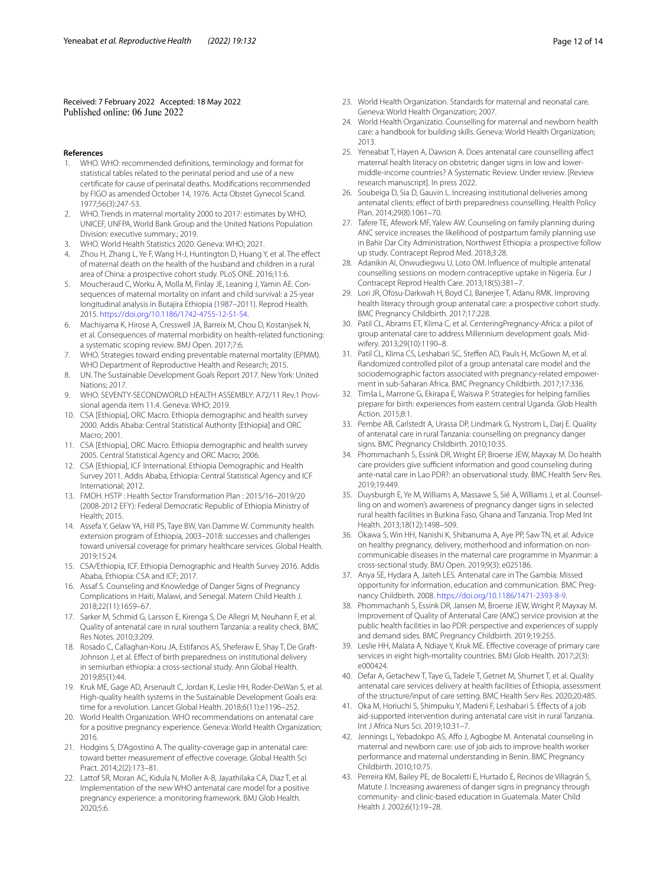Received: 7 February 2022 Accepted: 18 May 2022<br>Published online: 06 June 2022

#### **References**

- <span id="page-11-0"></span>1. WHO. WHO: recommended defnitions, terminology and format for statistical tables related to the perinatal period and use of a new certifcate for cause of perinatal deaths. Modifcations recommended by FIGO as amended October 14, 1976. Acta Obstet Gynecol Scand. 1977;56(3):247-53.
- <span id="page-11-1"></span>2. WHO. Trends in maternal mortality 2000 to 2017: estimates by WHO, UNICEF, UNFPA, World Bank Group and the United Nations Population Division: executive summary.; 2019.
- <span id="page-11-2"></span>3. WHO. World Health Statistics 2020. Geneva: WHO; 2021.
- <span id="page-11-3"></span>4. Zhou H, Zhang L, Ye F, Wang H-J, Huntington D, Huang Y, et al. The efect of maternal death on the health of the husband and children in a rural area of China: a prospective cohort study. PLoS ONE. 2016;11:6.
- 5. Moucheraud C, Worku A, Molla M, Finlay JE, Leaning J, Yamin AE. Consequences of maternal mortality on infant and child survival: a 25-year longitudinal analysis in Butajira Ethiopia (1987–2011). Reprod Health. 2015. [https://doi.org/10.1186/1742-4755-12-S1-S4.](https://doi.org/10.1186/1742-4755-12-S1-S4)
- <span id="page-11-4"></span>6. Machiyama K, Hirose A, Cresswell JA, Barreix M, Chou D, Kostanjsek N, et al. Consequences of maternal morbidity on health-related functioning: a systematic scoping review. BMJ Open. 2017;7:6.
- <span id="page-11-5"></span>7. WHO. Strategies toward ending preventable maternal mortality (EPMM). WHO Department of Reproductive Health and Research; 2015.
- <span id="page-11-7"></span>8. UN. The Sustainable Development Goals Report 2017. New York: United Nations; 2017.
- <span id="page-11-6"></span>9. WHO. SEVENTY-SECONDWORLD HEALTH ASSEMBLY: A72/11 Rev.1 Provisional agenda item 11.4. Geneva: WHO; 2019.
- <span id="page-11-8"></span>10. CSA [Ethiopia], ORC Macro. Ethiopia demographic and health survey 2000. Addis Ababa: Central Statistical Authority [Ethiopia] and ORC Macro; 2001.
- 11. CSA [Ethiopia], ORC Macro. Ethiopia demographic and health survey 2005. Central Statistical Agency and ORC Macro; 2006.
- <span id="page-11-9"></span>12. CSA [Ethiopia], ICF International. Ethiopia Demographic and Health Survey 2011. Addis Ababa, Ethiopia: Central Statistical Agency and ICF International; 2012.
- <span id="page-11-10"></span>13. FMOH. HSTP : Health Sector Transformation Plan : 2015/16–2019/20 (2008-2012 EFY): Federal Democratic Republic of Ethiopia Ministry of Health; 2015.
- <span id="page-11-11"></span>14. Assefa Y, Gelaw YA, Hill PS, Taye BW, Van Damme W. Community health extension program of Ethiopia, 2003–2018: successes and challenges toward universal coverage for primary healthcare services. Global Health. 2019;15:24.
- <span id="page-11-12"></span>15. CSA/Ethiopia, ICF. Ethiopia Demographic and Health Survey 2016. Addis Ababa, Ethiopia: CSA and ICF; 2017.
- <span id="page-11-13"></span>16. Assaf S. Counseling and Knowledge of Danger Signs of Pregnancy Complications in Haiti, Malawi, and Senegal. Matern Child Health J. 2018;22(11):1659–67.
- <span id="page-11-25"></span>17. Sarker M, Schmid G, Larsson E, Kirenga S, De Allegri M, Neuhann F, et al. Quality of antenatal care in rural southern Tanzania: a reality check. BMC Res Notes. 2010;3:209.
- 18. Rosado C, Callaghan-Koru JA, Estifanos AS, Sheferaw E, Shay T, De Graft-Johnson J, et al. Efect of birth preparedness on institutional delivery in semiurban ethiopia: a cross-sectional study. Ann Global Health. 2019;85(1):44.
- <span id="page-11-14"></span>19. Kruk ME, Gage AD, Arsenault C, Jordan K, Leslie HH, Roder-DeWan S, et al. High-quality health systems in the Sustainable Development Goals era: time for a revolution. Lancet Global Health. 2018;6(11):e1196–252.
- <span id="page-11-15"></span>20. World Health Organization. WHO recommendations on antenatal care for a positive pregnancy experience. Geneva: World Health Organization; 2016.
- 21. Hodgins S, D'Agostino A. The quality-coverage gap in antenatal care: toward better measurement of efective coverage. Global Health Sci Pract. 2014;2(2):173–81.
- <span id="page-11-16"></span>22. Lattof SR, Moran AC, Kidula N, Moller A-B, Jayathilaka CA, Diaz T, et al. Implementation of the new WHO antenatal care model for a positive pregnancy experience: a monitoring framework. BMJ Glob Health. 2020;5:6.
- <span id="page-11-17"></span>23. World Health Organization. Standards for maternal and neonatal care. Geneva: World Health Organization; 2007.
- <span id="page-11-18"></span>24. World Health Organizatio. Counselling for maternal and newborn health care: a handbook for building skills. Geneva: World Health Organization; 2013.
- <span id="page-11-19"></span>25. Yeneabat T, Hayen A, Dawson A. Does antenatal care counselling afect maternal health literacy on obstetric danger signs in low and lowermiddle-income countries? A Systematic Review. Under review. [Review research manuscript]. In press 2022.
- <span id="page-11-20"></span>26. Soubeiga D, Sia D, Gauvin L. Increasing institutional deliveries among antenatal clients: efect of birth preparedness counselling. Health Policy Plan. 2014;29(8):1061–70.
- <span id="page-11-21"></span>27. Tafere TE, Afework MF, Yalew AW. Counseling on family planning during ANC service increases the likelihood of postpartum family planning use in Bahir Dar City Administration, Northwest Ethiopia: a prospective follow up study. Contracept Reprod Med. 2018;3:28.
- <span id="page-11-22"></span>28. Adanikin AI, Onwudiegwu U, Loto OM. Infuence of multiple antenatal counselling sessions on modern contraceptive uptake in Nigeria. Eur J Contracept Reprod Health Care. 2013;18(5):381–7.
- <span id="page-11-23"></span>29. Lori JR, Ofosu-Darkwah H, Boyd CJ, Banerjee T, Adanu RMK. Improving health literacy through group antenatal care: a prospective cohort study. BMC Pregnancy Childbirth. 2017;17:228.
- 30. Patil CL, Abrams ET, Klima C, et al. CenteringPregnancy-Africa: a pilot of group antenatal care to address Millennium development goals. Midwifery. 2013;29(10):1190–8.
- <span id="page-11-24"></span>31. Patil CL, Klima CS, Leshabari SC, Stefen AD, Pauls H, McGown M, et al. Randomized controlled pilot of a group antenatal care model and the sociodemographic factors associated with pregnancy-related empowerment in sub-Saharan Africa. BMC Pregnancy Childbirth. 2017;17:336.
- <span id="page-11-26"></span>32. Timša L, Marrone G, Ekirapa E, Waiswa P. Strategies for helping families prepare for birth: experiences from eastern central Uganda. Glob Health Action. 2015;8:1.
- <span id="page-11-35"></span>33. Pembe AB, Carlstedt A, Urassa DP, Lindmark G, Nystrom L, Darj E. Quality of antenatal care in rural Tanzania: counselling on pregnancy danger signs. BMC Pregnancy Childbirth. 2010;10:35.
- 34. Phommachanh S, Essink DR, Wright EP, Broerse JEW, Mayxay M. Do health care providers give sufficient information and good counseling during ante-natal care in Lao PDR?: an observational study. BMC Health Serv Res. 2019;19:449.
- <span id="page-11-27"></span>35. Duysburgh E, Ye M, Williams A, Massawe S, Sié A, Williams J, et al. Counselling on and women's awareness of pregnancy danger signs in selected rural health facilities in Burkina Faso, Ghana and Tanzania. Trop Med Int Health. 2013;18(12):1498–509.
- <span id="page-11-28"></span>36. Okawa S, Win HH, Nanishi K, Shibanuma A, Aye PP, Saw TN, et al. Advice on healthy pregnancy, delivery, motherhood and information on noncommunicable diseases in the maternal care programme in Myanmar: a cross-sectional study. BMJ Open. 2019;9(3): e025186.
- <span id="page-11-29"></span>37. Anya SE, Hydara A, Jaiteh LES. Antenatal care in The Gambia: Missed opportunity for information, education and communication. BMC Pregnancy Childbirth. 2008.<https://doi.org/10.1186/1471-2393-8-9>.
- <span id="page-11-30"></span>38. Phommachanh S, Essink DR, Jansen M, Broerse JEW, Wright P, Mayxay M. Improvement of Quality of Antenatal Care (ANC) service provision at the public health facilities in lao PDR: perspective and experiences of supply and demand sides. BMC Pregnancy Childbirth. 2019;19:255.
- 39. Leslie HH, Malata A, Ndiaye Y, Kruk ME. Efective coverage of primary care services in eight high-mortality countries. BMJ Glob Health. 2017;2(3): e000424.
- <span id="page-11-31"></span>40. Defar A, Getachew T, Taye G, Tadele T, Getnet M, Shumet T, et al. Quality antenatal care services delivery at health facilities of Ethiopia, assessment of the structure/input of care setting. BMC Health Serv Res. 2020;20:485.
- <span id="page-11-32"></span>41. Oka M, Horiuchi S, Shimpuku Y, Madeni F, Leshabari S. Efects of a job aid-supported intervention during antenatal care visit in rural Tanzania. Int J Africa Nurs Sci. 2019;10:31–7.
- <span id="page-11-34"></span>42. Jennings L, Yebadokpo AS, Afo J, Agbogbe M. Antenatal counseling in maternal and newborn care: use of job aids to improve health worker performance and maternal understanding in Benin. BMC Pregnancy Childbirth. 2010;10:75.
- <span id="page-11-33"></span>43. Perreira KM, Bailey PE, de Bocaletti E, Hurtado E, Recinos de Villagrán S, Matute J. Increasing awareness of danger signs in pregnancy through community- and clinic-based education in Guatemala. Mater Child Health J. 2002;6(1):19–28.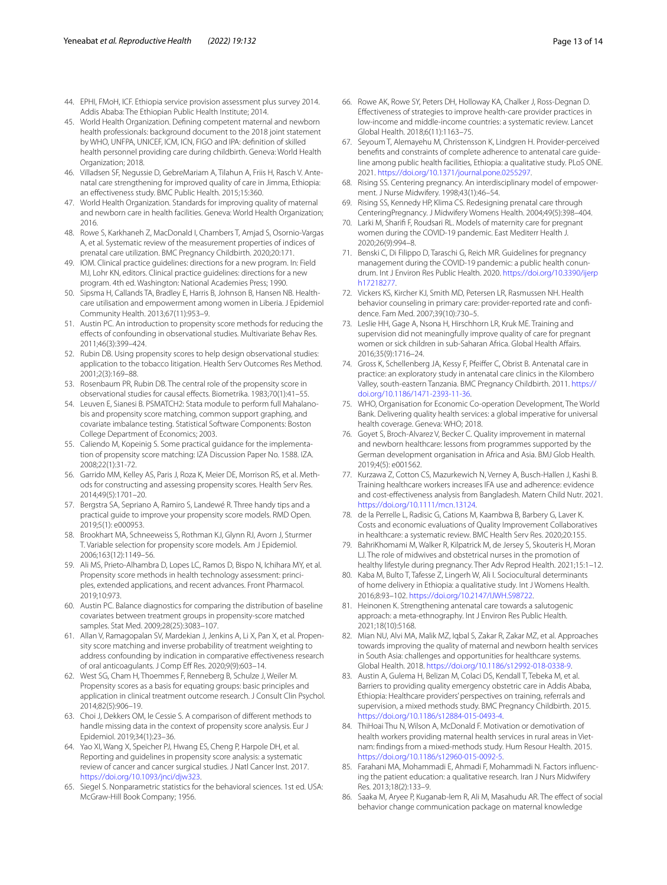- <span id="page-12-0"></span>44. EPHI, FMoH, ICF. Ethiopia service provision assessment plus survey 2014. Addis Ababa: The Ethiopian Public Health Institute; 2014.
- <span id="page-12-1"></span>45. World Health Organization. Defning competent maternal and newborn health professionals: background document to the 2018 joint statement by WHO, UNFPA, UNICEF, ICM, ICN, FIGO and IPA: defnition of skilled health personnel providing care during childbirth. Geneva: World Health Organization; 2018.
- <span id="page-12-2"></span>46. Villadsen SF, Negussie D, GebreMariam A, Tilahun A, Friis H, Rasch V. Antenatal care strengthening for improved quality of care in Jimma, Ethiopia: an efectiveness study. BMC Public Health. 2015;15:360.
- <span id="page-12-3"></span>47. World Health Organization. Standards for improving quality of maternal and newborn care in health facilities. Geneva: World Health Organization; 2016.
- <span id="page-12-4"></span>48. Rowe S, Karkhaneh Z, MacDonald I, Chambers T, Amjad S, Osornio-Vargas A, et al. Systematic review of the measurement properties of indices of prenatal care utilization. BMC Pregnancy Childbirth. 2020;20:171.
- <span id="page-12-5"></span>49. IOM. Clinical practice guidelines: directions for a new program. In: Field MJ, Lohr KN, editors. Clinical practice guidelines: directions for a new program. 4th ed. Washington: National Academies Press; 1990.
- <span id="page-12-6"></span>50. Sipsma H, Callands TA, Bradley E, Harris B, Johnson B, Hansen NB. Healthcare utilisation and empowerment among women in Liberia. J Epidemiol Community Health. 2013;67(11):953–9.
- <span id="page-12-7"></span>51. Austin PC. An introduction to propensity score methods for reducing the efects of confounding in observational studies. Multivariate Behav Res. 2011;46(3):399–424.
- <span id="page-12-8"></span>52. Rubin DB. Using propensity scores to help design observational studies: application to the tobacco litigation. Health Serv Outcomes Res Method. 2001;2(3):169–88.
- <span id="page-12-9"></span>53. Rosenbaum PR, Rubin DB. The central role of the propensity score in observational studies for causal efects. Biometrika. 1983;70(1):41–55.
- <span id="page-12-10"></span>54. Leuven E, Sianesi B. PSMATCH2: Stata module to perform full Mahalanobis and propensity score matching, common support graphing, and covariate imbalance testing. Statistical Software Components: Boston College Department of Economics; 2003.
- <span id="page-12-11"></span>55. Caliendo M, Kopeinig S. Some practical guidance for the implementation of propensity score matching: IZA Discussion Paper No. 1588. IZA. 2008;22(1):31-72.
- <span id="page-12-12"></span>56. Garrido MM, Kelley AS, Paris J, Roza K, Meier DE, Morrison RS, et al. Methods for constructing and assessing propensity scores. Health Serv Res. 2014;49(5):1701–20.
- <span id="page-12-13"></span>57. Bergstra SA, Sepriano A, Ramiro S, Landewé R. Three handy tips and a practical guide to improve your propensity score models. RMD Open. 2019;5(1): e000953.
- <span id="page-12-14"></span>58. Brookhart MA, Schneeweiss S, Rothman KJ, Glynn RJ, Avorn J, Sturmer T. Variable selection for propensity score models. Am J Epidemiol. 2006;163(12):1149–56.
- <span id="page-12-15"></span>59. Ali MS, Prieto-Alhambra D, Lopes LC, Ramos D, Bispo N, Ichihara MY, et al. Propensity score methods in health technology assessment: principles, extended applications, and recent advances. Front Pharmacol. 2019;10:973.
- <span id="page-12-16"></span>60. Austin PC. Balance diagnostics for comparing the distribution of baseline covariates between treatment groups in propensity-score matched samples. Stat Med. 2009;28(25):3083–107.
- <span id="page-12-17"></span>61. Allan V, Ramagopalan SV, Mardekian J, Jenkins A, Li X, Pan X, et al. Propensity score matching and inverse probability of treatment weighting to address confounding by indication in comparative efectiveness research of oral anticoagulants. J Comp Eff Res. 2020;9(9):603-14.
- <span id="page-12-18"></span>62. West SG, Cham H, Thoemmes F, Renneberg B, Schulze J, Weiler M. Propensity scores as a basis for equating groups: basic principles and application in clinical treatment outcome research. J Consult Clin Psychol. 2014;82(5):906–19.
- <span id="page-12-19"></span>63. Choi J, Dekkers OM, le Cessie S. A comparison of diferent methods to handle missing data in the context of propensity score analysis. Eur J Epidemiol. 2019;34(1):23–36.
- <span id="page-12-20"></span>64. Yao XI, Wang X, Speicher PJ, Hwang ES, Cheng P, Harpole DH, et al. Reporting and guidelines in propensity score analysis: a systematic review of cancer and cancer surgical studies. J Natl Cancer Inst. 2017. [https://doi.org/10.1093/jnci/djw323.](https://doi.org/10.1093/jnci/djw323)
- <span id="page-12-21"></span>65. Siegel S. Nonparametric statistics for the behavioral sciences. 1st ed. USA: McGraw-Hill Book Company; 1956.
- <span id="page-12-22"></span>66. Rowe AK, Rowe SY, Peters DH, Holloway KA, Chalker J, Ross-Degnan D. Efectiveness of strategies to improve health-care provider practices in low-income and middle-income countries: a systematic review. Lancet Global Health. 2018;6(11):1163–75.
- <span id="page-12-23"></span>67. Seyoum T, Alemayehu M, Christensson K, Lindgren H. Provider-perceived benefts and constraints of complete adherence to antenatal care guideline among public health facilities, Ethiopia: a qualitative study. PLoS ONE. 2021. [https://doi.org/10.1371/journal.pone.0255297.](https://doi.org/10.1371/journal.pone.0255297)
- <span id="page-12-24"></span>68. Rising SS. Centering pregnancy. An interdisciplinary model of empowerment. J Nurse Midwifery. 1998;43(1):46–54.
- <span id="page-12-25"></span>69. Rising SS, Kennedy HP, Klima CS. Redesigning prenatal care through CenteringPregnancy. J Midwifery Womens Health. 2004;49(5):398–404.
- <span id="page-12-26"></span>70. Larki M, Sharif F, Roudsari RL. Models of maternity care for pregnant women during the COVID-19 pandemic. East Mediterr Health J. 2020;26(9):994–8.
- <span id="page-12-27"></span>71. Benski C, Di Filippo D, Taraschi G, Reich MR. Guidelines for pregnancy management during the COVID-19 pandemic: a public health conundrum. Int J Environ Res Public Health. 2020. [https://doi.org/10.3390/ijerp](https://doi.org/10.3390/ijerph17218277) [h17218277](https://doi.org/10.3390/ijerph17218277).
- <span id="page-12-28"></span>72. Vickers KS, Kircher KJ, Smith MD, Petersen LR, Rasmussen NH. Health behavior counseling in primary care: provider-reported rate and confdence. Fam Med. 2007;39(10):730–5.
- <span id="page-12-29"></span>73. Leslie HH, Gage A, Nsona H, Hirschhorn LR, Kruk ME. Training and supervision did not meaningfully improve quality of care for pregnant women or sick children in sub-Saharan Africa. Global Health Afairs. 2016;35(9):1716–24.
- <span id="page-12-30"></span>74. Gross K, Schellenberg JA, Kessy F, Pfeifer C, Obrist B. Antenatal care in practice: an exploratory study in antenatal care clinics in the Kilombero .<br>Valley, south-eastern Tanzania. BMC Pregnancy Childbirth. 2011. [https://](https://doi.org/10.1186/1471-2393-11-36) [doi.org/10.1186/1471-2393-11-36](https://doi.org/10.1186/1471-2393-11-36).
- <span id="page-12-31"></span>75. WHO, Organisation for Economic Co-operation Development, The World Bank. Delivering quality health services: a global imperative for universal health coverage. Geneva: WHO; 2018.
- <span id="page-12-32"></span>76. Goyet S, Broch-Alvarez V, Becker C. Quality improvement in maternal and newborn healthcare: lessons from programmes supported by the German development organisation in Africa and Asia. BMJ Glob Health. 2019;4(5): e001562.
- <span id="page-12-33"></span>77. Kurzawa Z, Cotton CS, Mazurkewich N, Verney A, Busch-Hallen J, Kashi B. Training healthcare workers increases IFA use and adherence: evidence and cost-efectiveness analysis from Bangladesh. Matern Child Nutr. 2021. [https://doi.org/10.1111/mcn.13124.](https://doi.org/10.1111/mcn.13124)
- <span id="page-12-34"></span>78. de la Perrelle L, Radisic G, Cations M, Kaambwa B, Barbery G, Laver K. Costs and economic evaluations of Quality Improvement Collaboratives in healthcare: a systematic review. BMC Health Serv Res. 2020;20:155.
- <span id="page-12-35"></span>79. BahriKhomami M, Walker R, Kilpatrick M, de Jersey S, Skouteris H, Moran LJ. The role of midwives and obstetrical nurses in the promotion of healthy lifestyle during pregnancy. Ther Adv Reprod Health. 2021;15:1–12.
- <span id="page-12-36"></span>80. Kaba M, Bulto T, Tafesse Z, Lingerh W, Ali I. Sociocultural determinants of home delivery in Ethiopia: a qualitative study. Int J Womens Health. 2016;8:93–102. [https://doi.org/10.2147/IJWH.S98722.](https://doi.org/10.2147/IJWH.S98722)
- <span id="page-12-37"></span>81. Heinonen K. Strengthening antenatal care towards a salutogenic approach: a meta-ethnography. Int J Environ Res Public Health. 2021;18(10):5168.
- <span id="page-12-38"></span>82. Mian NU, Alvi MA, Malik MZ, Iqbal S, Zakar R, Zakar MZ, et al. Approaches towards improving the quality of maternal and newborn health services in South Asia: challenges and opportunities for healthcare systems. Global Health. 2018. [https://doi.org/10.1186/s12992-018-0338-9.](https://doi.org/10.1186/s12992-018-0338-9)
- <span id="page-12-39"></span>83. Austin A, Gulema H, Belizan M, Colaci DS, Kendall T, Tebeka M, et al. Barriers to providing quality emergency obstetric care in Addis Ababa, Ethiopia: Healthcare providers' perspectives on training, referrals and supervision, a mixed methods study. BMC Pregnancy Childbirth. 2015. [https://doi.org/10.1186/s12884-015-0493-4.](https://doi.org/10.1186/s12884-015-0493-4)
- <span id="page-12-40"></span>84. ThiHoai Thu N, Wilson A, McDonald F. Motivation or demotivation of health workers providing maternal health services in rural areas in Vietnam: fndings from a mixed-methods study. Hum Resour Health. 2015. [https://doi.org/10.1186/s12960-015-0092-5.](https://doi.org/10.1186/s12960-015-0092-5)
- <span id="page-12-41"></span>85. Farahani MA, Mohammadi E, Ahmadi F, Mohammadi N. Factors infuencing the patient education: a qualitative research. Iran J Nurs Midwifery Res. 2013;18(2):133–9.
- <span id="page-12-42"></span>86. Saaka M, Aryee P, Kuganab-lem R, Ali M, Masahudu AR. The efect of social behavior change communication package on maternal knowledge